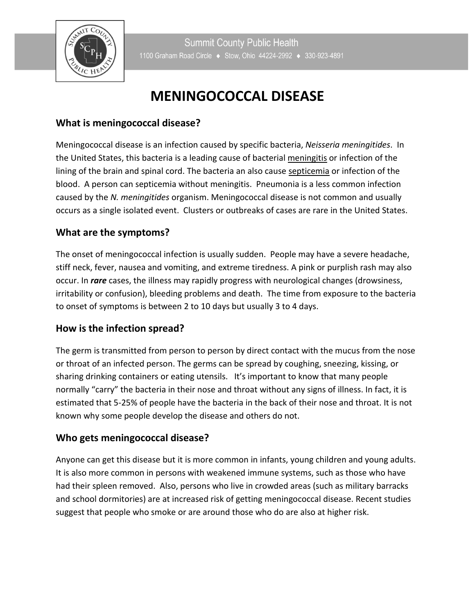

 $\overline{\phantom{a}}$ 

# **MENINGOCOCCAL DISEASE**

# **What is meningococcal disease?**

Meningococcal disease is an infection caused by specific bacteria, *Neisseria meningitides*. In the United States, this bacteria is a leading cause of bacterial meningitis or infection of the lining of the brain and spinal cord. The bacteria an also cause septicemia or infection of the blood. A person can septicemia without meningitis. Pneumonia is a less common infection caused by the *N. meningitides* organism. Meningococcal disease is not common and usually occurs as a single isolated event. Clusters or outbreaks of cases are rare in the United States.

# **What are the symptoms?**

The onset of meningococcal infection is usually sudden. People may have a severe headache, stiff neck, fever, nausea and vomiting, and extreme tiredness. A pink or purplish rash may also occur. In *rare* cases, the illness may rapidly progress with neurological changes (drowsiness, irritability or confusion), bleeding problems and death. The time from exposure to the bacteria to onset of symptoms is between 2 to 10 days but usually 3 to 4 days.

# **How is the infection spread?**

The germ is transmitted from person to person by direct contact with the mucus from the nose or throat of an infected person. The germs can be spread by coughing, sneezing, kissing, or sharing drinking containers or eating utensils. It's important to know that many people normally "carry" the bacteria in their nose and throat without any signs of illness. In fact, it is estimated that 5-25% of people have the bacteria in the back of their nose and throat. It is not known why some people develop the disease and others do not.

# **Who gets meningococcal disease?**

Anyone can get this disease but it is more common in infants, young children and young adults. It is also more common in persons with weakened immune systems, such as those who have had their spleen removed. Also, persons who live in crowded areas (such as military barracks and school dormitories) are at increased risk of getting meningococcal disease. Recent studies suggest that people who smoke or are around those who do are also at higher risk.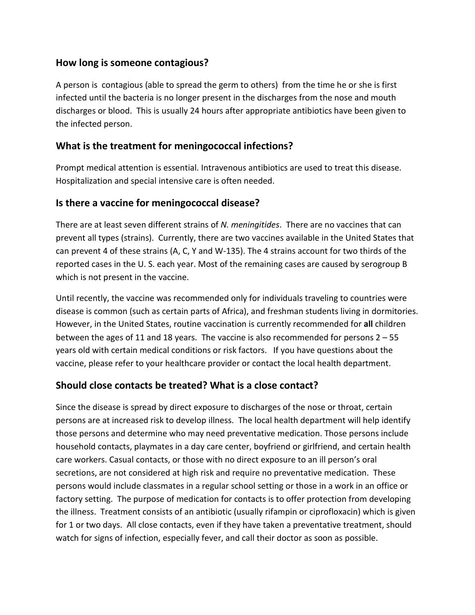# **How long is someone contagious?**

A person is contagious (able to spread the germ to others) from the time he or she is first infected until the bacteria is no longer present in the discharges from the nose and mouth discharges or blood. This is usually 24 hours after appropriate antibiotics have been given to the infected person.

# **What is the treatment for meningococcal infections?**

Prompt medical attention is essential. Intravenous antibiotics are used to treat this disease. Hospitalization and special intensive care is often needed.

# **Is there a vaccine for meningococcal disease?**

There are at least seven different strains of *N. meningitides*. There are no vaccines that can prevent all types (strains). Currently, there are two vaccines available in the United States that can prevent 4 of these strains (A, C, Y and W-135). The 4 strains account for two thirds of the reported cases in the U. S. each year. Most of the remaining cases are caused by serogroup B which is not present in the vaccine.

Until recently, the vaccine was recommended only for individuals traveling to countries were disease is common (such as certain parts of Africa), and freshman students living in dormitories. However, in the United States, routine vaccination is currently recommended for **all** children between the ages of 11 and 18 years. The vaccine is also recommended for persons 2 – 55 years old with certain medical conditions or risk factors. If you have questions about the vaccine, please refer to your healthcare provider or contact the local health department.

# **Should close contacts be treated? What is a close contact?**

Since the disease is spread by direct exposure to discharges of the nose or throat, certain persons are at increased risk to develop illness. The local health department will help identify those persons and determine who may need preventative medication. Those persons include household contacts, playmates in a day care center, boyfriend or girlfriend, and certain health care workers. Casual contacts, or those with no direct exposure to an ill person's oral secretions, are not considered at high risk and require no preventative medication. These persons would include classmates in a regular school setting or those in a work in an office or factory setting. The purpose of medication for contacts is to offer protection from developing the illness. Treatment consists of an antibiotic (usually rifampin or ciprofloxacin) which is given for 1 or two days. All close contacts, even if they have taken a preventative treatment, should watch for signs of infection, especially fever, and call their doctor as soon as possible.